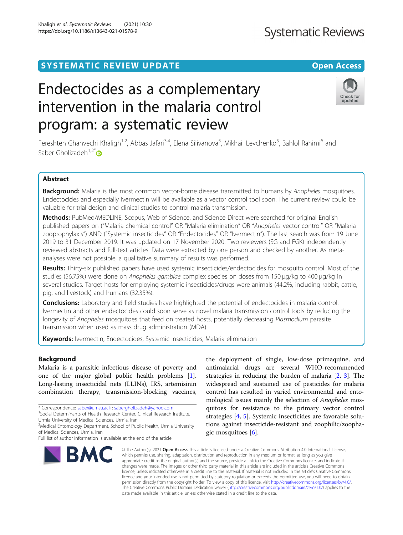# SYSTEMATIC REVIEW UPDATE And the other control open Access

# Endectocides as a complementary intervention in the malaria control program: a systematic review

Fereshteh Ghahvechi Khaligh<sup>1,2</sup>, Abbas Jafari<sup>3,4</sup>, Elena Silivanova<sup>5</sup>, Mikhail Levchenko<sup>5</sup>, Bahlol Rahimi<sup>6</sup> and Saber Gholizadeh<sup>1,2\*</sup> $\blacksquare$ 

# Abstract

Background: Malaria is the most common vector-borne disease transmitted to humans by Anopheles mosquitoes. Endectocides and especially ivermectin will be available as a vector control tool soon. The current review could be valuable for trial design and clinical studies to control malaria transmission.

Methods: PubMed/MEDLINE, Scopus, Web of Science, and Science Direct were searched for original English published papers on ("Malaria chemical control" OR "Malaria elimination" OR "Anopheles vector control" OR "Malaria zooprophylaxis") AND ("Systemic insecticides" OR "Endectocides" OR "Ivermectin"). The last search was from 19 June 2019 to 31 December 2019. It was updated on 17 November 2020. Two reviewers (SG and FGK) independently reviewed abstracts and full-text articles. Data were extracted by one person and checked by another. As metaanalyses were not possible, a qualitative summary of results was performed.

Results: Thirty-six published papers have used systemic insecticides/endectocides for mosquito control. Most of the studies (56.75%) were done on Anopheles gambiae complex species on doses from 150 μg/kg to 400 μg/kg in several studies. Target hosts for employing systemic insecticides/drugs were animals (44.2%, including rabbit, cattle, pig, and livestock) and humans (32.35%).

**Conclusions:** Laboratory and field studies have highlighted the potential of endectocides in malaria control. Ivermectin and other endectocides could soon serve as novel malaria transmission control tools by reducing the longevity of Anopheles mosquitoes that feed on treated hosts, potentially decreasing Plasmodium parasite transmission when used as mass drug administration (MDA).

Keywords: Ivermectin, Endectocides, Systemic insecticides, Malaria elimination

# Background

Malaria is a parasitic infectious disease of poverty and one of the major global public health problems [\[1](#page-6-0)]. Long-lasting insecticidal nets (LLINs), IRS, artemisinin combination therapy, transmission-blocking vaccines,

\* Correspondence: [saber@umsu.ac.ir](mailto:saber@umsu.ac.ir); [sabergholizadeh@yahoo.com](mailto:sabergholizadeh@yahoo.com) <sup>1</sup>

<sup>1</sup> Social Determinants of Health Research Center, Clinical Research Institute, Urmia University of Medical Sciences, Urmia, Iran

<sup>2</sup>Medical Entomology Department, School of Public Health, Urmia University of Medical Sciences, Urmia, Iran

# Khaligh et al. Systematic Reviews (2021) 10:30 https://doi.org/10.1186/s13643-021-01578-9

**BMC** 

the deployment of single, low-dose primaquine, and antimalarial drugs are several WHO-recommended strategies in reducing the burden of malaria [\[2](#page-6-0), [3](#page-6-0)]. The widespread and sustained use of pesticides for malaria control has resulted in varied environmental and entomological issues mainly the selection of Anopheles mosquitoes for resistance to the primary vector control strategies [\[4](#page-6-0), [5](#page-6-0)]. Systemic insecticides are favorable solutions against insecticide-resistant and zoophilic/zoophagic mosquitoes [\[6\]](#page-6-0).

© The Author(s), 2021 **Open Access** This article is licensed under a Creative Commons Attribution 4.0 International License, which permits use, sharing, adaptation, distribution and reproduction in any medium or format, as long as you give appropriate credit to the original author(s) and the source, provide a link to the Creative Commons licence, and indicate if changes were made. The images or other third party material in this article are included in the article's Creative Commons licence, unless indicated otherwise in a credit line to the material. If material is not included in the article's Creative Commons licence and your intended use is not permitted by statutory regulation or exceeds the permitted use, you will need to obtain permission directly from the copyright holder. To view a copy of this licence, visit [http://creativecommons.org/licenses/by/4.0/.](http://creativecommons.org/licenses/by/4.0/) The Creative Commons Public Domain Dedication waiver [\(http://creativecommons.org/publicdomain/zero/1.0/](http://creativecommons.org/publicdomain/zero/1.0/)) applies to the data made available in this article, unless otherwise stated in a credit line to the data.



# **Systematic Reviews**



Full list of author information is available at the end of the article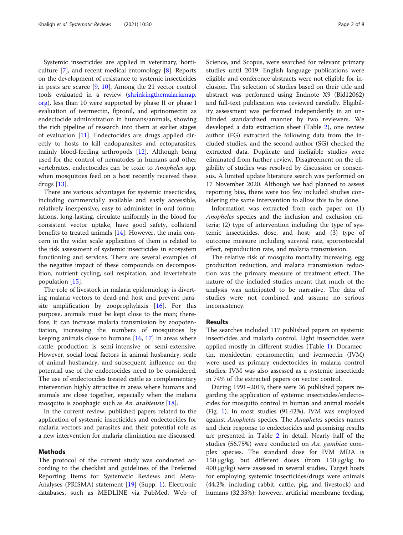Systemic insecticides are applied in veterinary, horticulture [\[7](#page-6-0)], and recent medical entomology [\[8](#page-6-0)]. Reports on the development of resistance to systemic insecticides in pests are scarce [[9,](#page-6-0) [10](#page-6-0)]. Among the 21 vector control tools evaluated in a review [\(shrinkingthemalariamap.](http://shrinkingthemalariamap.org) [org](http://shrinkingthemalariamap.org)), less than 10 were supported by phase II or phase I evaluation of ivermectin, fipronil, and eprinomectin as endectocide administration in humans/animals, showing the rich pipeline of research into them at earlier stages of evaluation [[11\]](#page-6-0). Endectocides are drugs applied directly to hosts to kill endoparasites and ectoparasites, mainly blood-feeding arthropods [\[12](#page-6-0)]. Although being used for the control of nematodes in humans and other vertebrates, endectocides can be toxic to Anopheles spp. when mosquitoes feed on a host recently received these drugs [\[13](#page-6-0)].

There are various advantages for systemic insecticides, including commercially available and easily accessible, relatively inexpensive, easy to administer in oral formulations, long-lasting, circulate uniformly in the blood for consistent vector uptake, have good safety, collateral benefits to treated animals [\[14\]](#page-6-0). However, the main concern in the wider scale application of them is related to the risk assessment of systemic insecticides in ecosystem functioning and services. There are several examples of the negative impact of these compounds on decomposition, nutrient cycling, soil respiration, and invertebrate population [[15\]](#page-6-0).

The role of livestock in malaria epidemiology is diverting malaria vectors to dead-end host and prevent parasite amplification by zooprophylaxis [[16](#page-6-0)]. For this purpose, animals must be kept close to the man; therefore, it can increase malaria transmission by zoopotentiation, increasing the numbers of mosquitoes by keeping animals close to humans  $[16, 17]$  $[16, 17]$  $[16, 17]$  $[16, 17]$  in areas where cattle production is semi-intensive or semi-extensive. However, social local factors in animal husbandry, scale of animal husbandry, and subsequent influence on the potential use of the endectocides need to be considered. The use of endectocides treated cattle as complementary intervention highly attractive in areas where humans and animals are close together, especially when the malaria mosquito is zoophagic such as An. arabiensis [\[18](#page-6-0)].

In the current review, published papers related to the application of systemic insecticides and endectocides for malaria vectors and parasites and their potential role as a new intervention for malaria elimination are discussed.

# Methods

The protocol of the current study was conducted according to the checklist and guidelines of the Preferred Reporting Items for Systematic Reviews and Meta-Analyses (PRISMA) statement [[19\]](#page-6-0) (Supp. [1](#page-5-0)). Electronic databases, such as MEDLINE via PubMed, Web of Science, and Scopus, were searched for relevant primary studies until 2019. English language publications were eligible and conference abstracts were not eligible for inclusion. The selection of studies based on their title and abstract was performed using Endnote X9 (Bld12062) and full-text publication was reviewed carefully. Eligibility assessment was performed independently in an unblinded standardized manner by two reviewers. We developed a data extraction sheet (Table [2](#page-3-0)), one review author (FG) extracted the following data from the included studies, and the second author (SG) checked the extracted data. Duplicate and ineligible studies were eliminated from further review. Disagreement on the eligibility of studies was resolved by discussion or consensus. A limited update literature search was performed on 17 November 2020. Although we had planned to assess reporting bias, there were too few included studies considering the same intervention to allow this to be done.

Information was extracted from each paper on (1) Anopheles species and the inclusion and exclusion criteria; (2) type of intervention including the type of systemic insecticides, dose, and host; and (3) type of outcome measure including survival rate, sporontocidal effect, reproduction rate, and malaria transmission.

The relative risk of mosquito mortality increasing, egg production reduction, and malaria transmission reduction was the primary measure of treatment effect. The nature of the included studies meant that much of the analysis was anticipated to be narrative. The data of studies were not combined and assume no serious inconsistency.

# Results

The searches included 117 published papers on systemic insecticides and malaria control. Eight insecticides were applied mostly in different studies (Table [1](#page-2-0)). Doramectin, moxidectin, eprinomectin, and ivermectin (IVM) were used as primary endectocides in malaria control studies. IVM was also assessed as a systemic insecticide in 74% of the extracted papers on vector control.

During 1991–2019, there were 36 published papers regarding the application of systemic insecticides/endectocides for mosquito control in human and animal models (Fig. [1](#page-2-0)). In most studies (91.42%), IVM was employed against Anopheles species. The Anopheles species names and their response to endectocides and promising results are presented in Table [2](#page-3-0) in detail. Nearly half of the studies (56.75%) were conducted on An. gambiae complex species. The standard dose for IVM MDA is 150 μg/kg, but different doses (from 150 μg/kg to 400 μg/kg) were assessed in several studies. Target hosts for employing systemic insecticides/drugs were animals (44.2%, including rabbit, cattle, pig, and livestock) and humans (32.35%); however, artificial membrane feeding,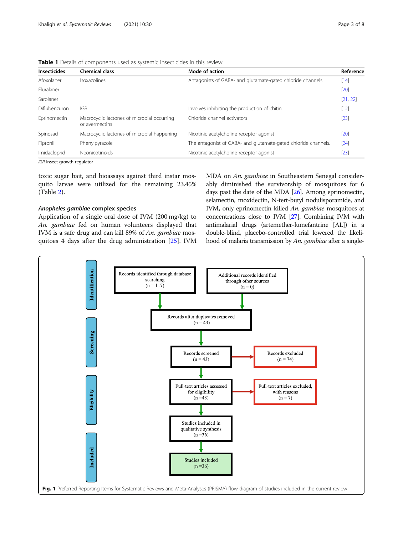<span id="page-2-0"></span>

|  |  | <b>Table 1</b> Details of components used as systemic insecticides in this review |  |  |  |  |
|--|--|-----------------------------------------------------------------------------------|--|--|--|--|
|  |  |                                                                                   |  |  |  |  |

| <b>Insecticides</b> | <b>Chemical class</b>                                         | Mode of action                                                 | Reference |
|---------------------|---------------------------------------------------------------|----------------------------------------------------------------|-----------|
| Afoxolaner          | Isoxazolines                                                  | Antagonists of GABA- and glutamate-gated chloride channels.    | $[14]$    |
| Fluralaner          |                                                               |                                                                | $[20]$    |
| Sarolaner           |                                                               |                                                                | [21, 22]  |
| Diflubenzuron       | <b>IGR</b>                                                    | Involves inhibiting the production of chitin                   | $[12]$    |
| Eprinomectin        | Macrocyclic lactones of microbial occurring<br>or avermectins | Chloride channel activators                                    | $[23]$    |
| Spinosad            | Macrocyclic lactones of microbial happening                   | Nicotinic acetylcholine receptor agonist                       | $[20]$    |
| Fipronil            | Phenylpyrazole                                                | The antagonist of GABA- and glutamate-gated chloride channels. | $[24]$    |
| Imidacloprid        | Neonicotinoids                                                | Nicotinic acetylcholine receptor agonist                       | $[23]$    |

IGR Insect growth regulator

toxic sugar bait, and bioassays against third instar mosquito larvae were utilized for the remaining 23.45% (Table [2\)](#page-3-0).

# Anopheles gambiae complex species

Application of a single oral dose of IVM (200 mg/kg) to An. gambiae fed on human volunteers displayed that IVM is a safe drug and can kill 89% of An. gambiae mosquitoes 4 days after the drug administration [[25\]](#page-6-0). IVM MDA on An. gambiae in Southeastern Senegal considerably diminished the survivorship of mosquitoes for 6 days past the date of the MDA [\[26\]](#page-6-0). Among eprinomectin, selamectin, moxidectin, N-tert-butyl nodulisporamide, and IVM, only eprinomectin killed An. gambiae mosquitoes at concentrations close to IVM [\[27\]](#page-6-0). Combining IVM with antimalarial drugs (artemether-lumefantrine [AL]) in a double-blind, placebo-controlled trial lowered the likelihood of malaria transmission by An. gambiae after a single-

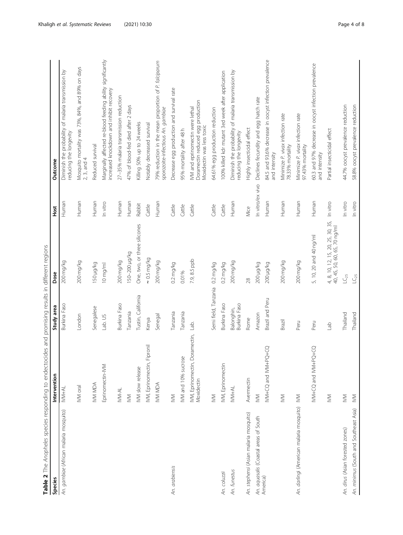<span id="page-3-0"></span>

| Species                                      | Intervention                                 | Study area                 | Dose                                                              | Host             | Outcome                                                                                                |
|----------------------------------------------|----------------------------------------------|----------------------------|-------------------------------------------------------------------|------------------|--------------------------------------------------------------------------------------------------------|
| An. gambiae (African malaria mosquito)       | IVM+AL                                       | Burkina Faso               | 200 mg/kg                                                         | Human            | Diminish the probability of malaria transmission by<br>reducing the longevity                          |
|                                              | IVM oral                                     | London                     | 200 mg/kg                                                         | Human            | Mosquito mortality was 73%, 84%, and 89% on days<br>$2, 3,$ and $4$                                    |
|                                              | IVM MDA                                      | Senegalese                 | py/brl 051                                                        | Human            | Reduced survival                                                                                       |
|                                              | Eprinomectin-IVM                             | Lab. US                    | $10$ mg/ml                                                        | In vitro         | Marginally affected re-blood feeding ability significantly<br>increased knockdown and inhibit recovery |
|                                              | IVM-AL                                       | Burkina Faso               | 200 mg/kg                                                         | Human            | 27-35% malaria transmission reduction                                                                  |
|                                              | $\geq$                                       | Tanzania                   | 150-200 µg/kg                                                     | Human            | 47% of blood-fed died after 2 days                                                                     |
|                                              | IVM slow release                             | Tustin, California         | One, two, or three silicones                                      | Rabbit           | Killing 50% up to 24 weeks                                                                             |
|                                              | IVM, Eprinomectin, Fipronil                  | Kenya                      | $\sim$ 0.5 mg/kg                                                  | Cattle           | Notably decreased survival                                                                             |
|                                              | NOW MDA                                      | Senegal                    | 200 mg/kg                                                         | Human            | 79% reduction in the mean proportion of P. falciparum<br>sporozoite-infectious An. gambiae             |
| An. arabiensis                               | $\geqslant$                                  | Tanzania                   | $0.2$ mg/kg                                                       | Cattle           | Decrease egg production and survival rate                                                              |
|                                              | IVM and 10% sucrose                          | Tanzania                   | 0.01%                                                             | Cattle           | 95% mortality after 48h                                                                                |
|                                              | IVM, Eprinomectin, Doramectin,<br>Moxidectin | a <sub>b</sub>             | 7.9, 8.5 ppb                                                      | Cattle           | Doramectin reduced egg production<br>IVM and eprinomectin were lethal<br>Moxidectin was less toxic     |
|                                              | $\geq$                                       | Semi field, Tanzania       | $0.2$ mg/kg                                                       | Cattle           | 64.61% egg production reduction                                                                        |
| An. coluzzii                                 | IVM, Eprinomectin                            | Burkina Faso               | $0.2$ mg/kg                                                       | Cattle           | 100% killed kdr mutant 3ed week after application                                                      |
| An. funestus                                 | IVM+AL                                       | Burkina Faso<br>Balonghin, | 200 mg/kg                                                         | Human            | Diminish the probability of malaria transmission by<br>reducing the longevity                          |
| An. stephensi (Asian malaria mosquito)       | Avermectin                                   | Rome                       | 28                                                                | Mice             | Highly insecticidal effect                                                                             |
| An. aquasalis (Coastal areas of South        | M                                            | Amazon                     | py/ph 002                                                         | In vitro/ex vivo | Declines fecundity and egg hatch rate                                                                  |
| America)                                     | MW+CQ and IVM+PQ+CQ                          | Brazil and Peru            | <b>DN/GN 002</b>                                                  | Human            | 84.5 and 93.6% decrease in oocyst infection prevalence<br>and intensity                                |
|                                              | M                                            | Brazil                     | 200 mg/kg                                                         | Human            | Minimize P. vivax infection rate<br>78.33% mortality                                                   |
| An. darlingi (American malaria mosquito) IVM |                                              | Peru                       | 200 mg/kg                                                         | Human            | Minimize P. vivax infection rate<br>97.43% mortality                                                   |
|                                              | MM+CQ and IVM+PQ+CQ                          | Peru                       | 5, 10, 20 and 40 ng/ml                                            | Human            | 60.3 and 97% decrease in oocyst infection prevalence<br>and intensity                                  |
|                                              | M                                            | $d\epsilon$                | 4, 8, 10, 12, 15, 20, 25, 30, 35,<br>40, 45, 50, 60, 65, 70 ng/ml | In vitro         | Partial insecticidal effect                                                                            |
| An. dirus (Asian forested zones)             | $\geq$                                       | Thailand                   | LC <sub>25</sub>                                                  | In vitro         | 44.7% oocyst prevalence reduction                                                                      |
| An. minimus (South and Southeast Asia)       | $\geq$                                       | Thailand                   | LC <sub>25</sub>                                                  | In vitro         | 58.8% oocyst prevalence reduction                                                                      |

Table 2 The Anopheles species responding to endectocides and promising results in different regions Table 2 The Anopheles species responding to endectocides and promising results in different regions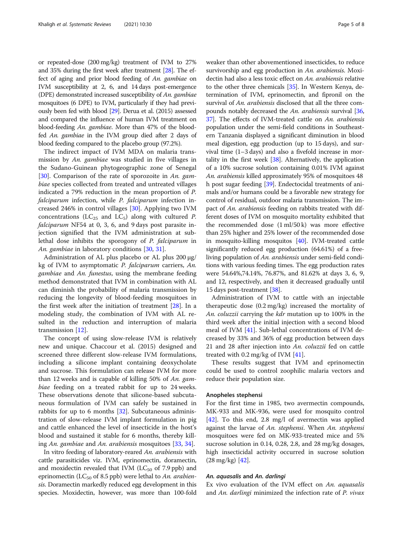or repeated-dose (200 mg/kg) treatment of IVM to 27% and 35% during the first week after treatment [[28](#page-6-0)]. The effect of aging and prior blood feeding of An. gambiae on IVM susceptibility at 2, 6, and 14 days post-emergence (DPE) demonstrated increased susceptibility of An. gambiae mosquitoes (6 DPE) to IVM, particularly if they had previously been fed with blood [[29\]](#page-6-0). Derua et al. (2015) assessed and compared the influence of human IVM treatment on blood-feeding An. gambiae. More than 47% of the bloodfed An. gambiae in the IVM group died after 2 days of blood feeding compared to the placebo group (97.2%).

The indirect impact of IVM MDA on malaria transmission by An. gambiae was studied in five villages in the Sudano-Guinean phytogeographic zone of Senegal [[30\]](#page-7-0). Comparison of the rate of sporozoite in An. gambiae species collected from treated and untreated villages indicated a 79% reduction in the mean proportion of P. falciparum infection, while P. falciparum infection increased 246% in control villages [[30](#page-7-0)]. Applying two IVM concentrations ( $LC_{25}$  and  $LC_{5}$ ) along with cultured P. falciparum NF54 at 0, 3, 6, and 9 days post parasite injection signified that the IVM administration at sublethal dose inhibits the sporogony of P. falciparum in An. gambiae in laboratory conditions [\[30](#page-7-0), [31\]](#page-7-0).

Administration of AL plus placebo or AL plus 200 μg/ kg of IVM to asymptomatic P. falciparum carriers, An. gambiae and An. funestus, using the membrane feeding method demonstrated that IVM in combination with AL can diminish the probability of malaria transmission by reducing the longevity of blood-feeding mosquitoes in the first week after the initiation of treatment [[28\]](#page-6-0). In a modeling study, the combination of IVM with AL resulted in the reduction and interruption of malaria transmission [[12](#page-6-0)].

The concept of using slow-release IVM is relatively new and unique. Chaccour et al. (2015) designed and screened three different slow-release IVM formulations, including a silicone implant containing deoxycholate and sucrose. This formulation can release IVM for more than 12 weeks and is capable of killing 50% of An. gambiae feeding on a treated rabbit for up to 24 weeks. These observations denote that silicone-based subcutaneous formulation of IVM can safely be sustained in rabbits for up to 6 months [[32\]](#page-7-0). Subcutaneous administration of slow-release IVM implant formulation in pig and cattle enhanced the level of insecticide in the host's blood and sustained it stable for 6 months, thereby killing An. gambiae and An. arabiensis mosquitoes [\[33,](#page-7-0) [34\]](#page-7-0).

In vitro feeding of laboratory-reared An. arabiensis with cattle parasiticides viz. IVM, eprinomectin, doramectin, and moxidectin revealed that IVM ( $LC_{50}$  of 7.9 ppb) and eprinomectin (LC<sub>50</sub> of 8.5 ppb) were lethal to An. arabiensis. Doramectin markedly reduced egg development in this species. Moxidectin, however, was more than 100-fold weaker than other abovementioned insecticides, to reduce survivorship and egg production in An. arabiensis. Moxidectin had also a less toxic effect on An. arabiensis relative to the other three chemicals [\[35\]](#page-7-0). In Western Kenya, determination of IVM, eprinomectin, and fipronil on the survival of An. arabiensis disclosed that all the three com-pounds notably decreased the An. arabiensis survival [[36](#page-7-0), [37](#page-7-0)]. The effects of IVM-treated cattle on An. arabiensis population under the semi-field conditions in Southeastern Tanzania displayed a significant diminution in blood meal digestion, egg production (up to 15 days), and survival time (1–3 days) and also a fivefold increase in mortality in the first week [[38](#page-7-0)]. Alternatively, the application of a 10% sucrose solution containing 0.01% IVM against An. arabiensis killed approximately 95% of mosquitoes 48 h post sugar feeding [\[39\]](#page-7-0). Endectocidal treatments of animals and/or humans could be a favorable new strategy for control of residual, outdoor malaria transmission. The impact of An. arabiensis feeding on rabbits treated with different doses of IVM on mosquito mortality exhibited that the recommended dose (1 ml/50 k) was more effective than 25% higher and 25% lower of the recommended dose in mosquito-killing mosquitos [\[40\]](#page-7-0). IVM-treated cattle significantly reduced egg production (64.61%) of a freeliving population of An. arabiensis under semi-field conditions with various feeding times. The egg production rates were 54.64%,74.14%, 76.87%, and 81.62% at days 3, 6, 9, and 12, respectively, and then it decreased gradually until 15 days post-treatment [[38](#page-7-0)].

Administration of IVM to cattle with an injectable therapeutic dose (0.2 mg/kg) increased the mortality of An. coluzzii carrying the kdr mutation up to 100% in the third week after the initial injection with a second blood meal of IVM [[41](#page-7-0)]. Sub-lethal concentrations of IVM decreased by 33% and 36% of egg production between days 21 and 28 after injection into An. coluzzii fed on cattle treated with  $0.2 \text{ mg/kg}$  of IVM  $[41]$ .

These results suggest that IVM and eprinomectin could be used to control zoophilic malaria vectors and reduce their population size.

# Anopheles stephensi

For the first time in 1985, two avermectin compounds, MK-933 and MK-936, were used for mosquito control [[42\]](#page-7-0). To this end, 2.8 mg/l of avermectin was applied against the larvae of An. stephensi. When An. stephensi mosquitoes were fed on MK-933-treated mice and 5% sucrose solution in 0.14, 0.28, 2.8, and 28 mg/kg dosages, high insecticidal activity occurred in sucrose solution (28 mg/kg) [[42\]](#page-7-0).

# An. aquasalis and An. darlingi

Ex vivo evaluation of the IVM effect on An. aquasalis and An. darlingi minimized the infection rate of P. vivax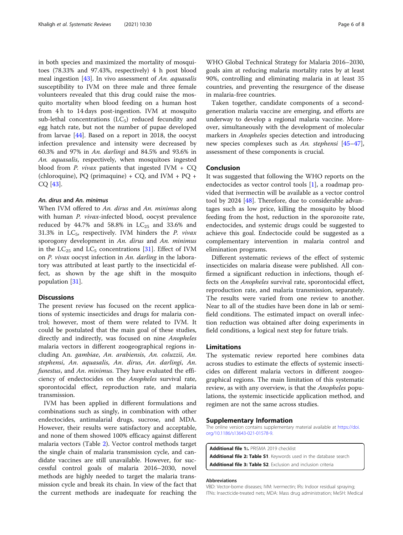<span id="page-5-0"></span>in both species and maximized the mortality of mosquitoes (78.33% and 97.43%, respectively) 4 h post blood meal ingestion [[43](#page-7-0)]. In vivo assessment of An. aquasalis susceptibility to IVM on three male and three female volunteers revealed that this drug could raise the mosquito mortality when blood feeding on a human host from 4 h to 14 days post-ingestion. IVM at mosquito sub-lethal concentrations  $(LC<sub>5</sub>)$  reduced fecundity and egg hatch rate, but not the number of pupae developed from larvae [[44](#page-7-0)]. Based on a report in 2018, the oocyst infection prevalence and intensity were decreased by 60.3% and 97% in An. darlingi and 84.5% and 93.6% in An. aquasalis, respectively, when mosquitoes ingested blood from *P. vivax* patients that ingested IVM  $+$  CQ (chloroquine), PQ (primaquine)  $+$  CQ, and IVM  $+$  PQ  $+$ CQ [\[43\]](#page-7-0).

# An. dirus and An. minimus

When IVM offered to An. dirus and An. minimus along with human P. vivax-infected blood, oocyst prevalence reduced by 44.7% and 58.8% in  $LC_{25}$  and 33.6% and 31.3% in  $LC_5$ , respectively. IVM hinders the *P. vivax* sporogony development in An. dirus and An. minimus in the  $LC_{25}$  and  $LC_{5}$  concentrations [[31\]](#page-7-0). Effect of IVM on P. vivax oocyst infection in An. darling in the laboratory was attributed at least partly to the insecticidal effect, as shown by the age shift in the mosquito population [[31\]](#page-7-0).

#### **Discussions**

The present review has focused on the recent applications of systemic insecticides and drugs for malaria control; however, most of them were related to IVM. It could be postulated that the main goal of these studies, directly and indirectly, was focused on nine Anopheles malaria vectors in different zoogeographical regions including An. gambiae, An. arabiensis, An. coluzzii, An. stephensi, An. aquasalis, An. dirus, An. darlingi, An. funestus, and An. minimus. They have evaluated the efficiency of endectocides on the Anopheles survival rate, sporontocidal effect, reproduction rate, and malaria transmission.

IVM has been applied in different formulations and combinations such as singly, in combination with other endectocides, antimalarial drugs, sucrose, and MDA. However, their results were satisfactory and acceptable, and none of them showed 100% efficacy against different malaria vectors (Table [2\)](#page-3-0). Vector control methods target the single chain of malaria transmission cycle, and candidate vaccines are still unavailable. However, for successful control goals of malaria 2016–2030, novel methods are highly needed to target the malaria transmission cycle and break its chain. In view of the fact that the current methods are inadequate for reaching the

WHO Global Technical Strategy for Malaria 2016–2030, goals aim at reducing malaria mortality rates by at least 90%, controlling and eliminating malaria in at least 35 countries, and preventing the resurgence of the disease in malaria-free countries.

Taken together, candidate components of a secondgeneration malaria vaccine are emerging, and efforts are underway to develop a regional malaria vaccine. Moreover, simultaneously with the development of molecular markers in Anopheles species detection and introducing new species complexes such as An. stephensi [[45](#page-7-0)–[47](#page-7-0)], assessment of these components is crucial.

# Conclusion

It was suggested that following the WHO reports on the endectocides as vector control tools [[1\]](#page-6-0), a roadmap provided that ivermectin will be available as a vector control tool by 2024 [[48\]](#page-7-0). Therefore, due to considerable advantages such as low price, killing the mosquito by blood feeding from the host, reduction in the sporozoite rate, endectocides, and systemic drugs could be suggested to achieve this goal. Endectocide could be suggested as a complementary intervention in malaria control and elimination programs.

Different systematic reviews of the effect of systemic insecticides on malaria disease were published. All confirmed a significant reduction in infections, though effects on the Anopheles survival rate, sporontocidal effect, reproduction rate, and malaria transmission, separately. The results were varied from one review to another. Near to all of the studies have been done in lab or semifield conditions. The estimated impact on overall infection reduction was obtained after doing experiments in field conditions, a logical next step for future trials.

# Limitations

The systematic review reported here combines data across studies to estimate the effects of systemic insecticides on different malaria vectors in different zoogeographical regions. The main limitation of this systematic review, as with any overview, is that the Anopheles populations, the systemic insecticide application method, and regimen are not the same across studies.

# Supplementary Information

The online version contains supplementary material available at [https://doi.](https://doi.org/10.1186/s13643-021-01578-9) [org/10.1186/s13643-021-01578-9.](https://doi.org/10.1186/s13643-021-01578-9)

Additional file 1:. PRISMA 2019 checklist Additional file 2: Table S1. Keywords used in the database search Additional file 3: Table S2. Exclusion and inclusion criteria

#### Abbreviations

VBD: Vector-borne diseases; IVM: Ivermectin; IRs: Indoor residual spraying; ITNs: Insecticide-treated nets; MDA: Mass drug administration; MeSH: Medical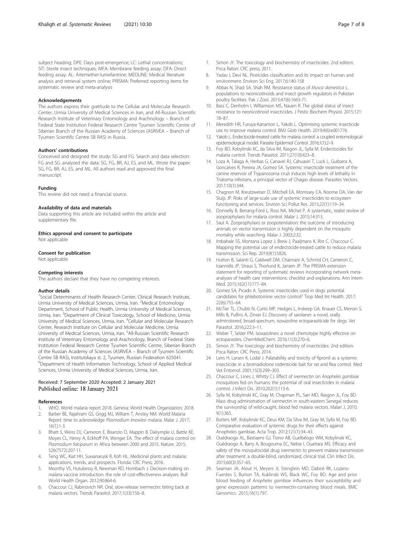<span id="page-6-0"></span>subject heading; DPE: Days post-emergence; LC: Lethal concentrations; SIT: Sterile insect techniques; MFA: Membrane feeding assay; DFA: Direct feeding assay; AL: Artemether-lumefantrine; MEDLINE: Medical literature analysis and retrieval system online; PRISMA: Preferred reporting items for systematic review and meta-analysis

#### Acknowledgements

The authors express their gratitude to the Cellular and Molecular Research Center, Urmia University of Medical Sciences in Iran, and All-Russian Scientific Research Institute of Veterinary Entomology and Arachnology – Branch of Federal State Institution Federal Research Centre Tyumen Scientific Centre of Siberian Branch of the Russian Academy of Sciences (ASRIVEA – Branch of Tyumen Scientific Centre SB RAS) in Russia.

# Authors' contributions

Conceived and designed the study: SG and FG. Search and data selection: FG and SG. analyzed the data: SG, FG, BR, AJ, ES, and ML. Wrote the paper: SG, FG, BR, AJ, ES, and ML. All authors read and approved the final manuscript.

#### Funding

This review did not need a financial source.

# Availability of data and materials

Data supporting this article are included within the article and supplementary file.

#### Ethics approval and consent to participate

Not applicable

#### Consent for publication

Not applicable

# Competing interests

The authors declare that they have no competing interests.

# Author details

<sup>1</sup>Social Determinants of Health Research Center, Clinical Research Institute, Urmia University of Medical Sciences, Urmia, Iran. <sup>2</sup>Medical Entomology Department, School of Public Health, Urmia University of Medical Sciences, Urmia, Iran. <sup>3</sup> Department of Clinical Toxicology, School of Medicine, Urmia University of Medical Sciences, Urmia, Iran. <sup>4</sup>Cellular and Molecular Research Center, Research Institute on Cellular and Molecular Medicine, Urmia University of Medical Sciences, Urmia, Iran. <sup>5</sup>All-Russian Scientific Research Institute of Veterinary Entomology and Arachnology, Branch of Federal State Institution Federal Research Centre Tyumen Scientific Centre, Siberian Branch of the Russian Academy of Sciences (ASRIVEA – Branch of Tyumen Scientific Centre SB RAS), Institutskaya st. 2, Tyumen, Russian Federation 625041. <sup>6</sup>Department of Health Information Technology, School of Applied Medical Sciences, Urmia University of Medical Sciences, Urmia, Iran.

# Received: 7 September 2020 Accepted: 2 January 2021 Published online: 18 January 2021

#### References

- 1. WHO. World malaria report 2018. Geneva: World Health Organization; 2018. 2. Barber BE, Rajahram GS, Grigg MJ, William T, Anstey NM. World Malaria
- Report: time to acknowledge Plasmodium knowlesi malaria. Malar J. 2017; 16(1):1-3.
- 3. Bhatt S, Weiss DJ, Cameron E, Bisanzio D, Mappin B, Dalrymple U, Battle KE, Moyes CL, Henry A, Eckhoff PA, Wenger EA. The effect of malaria control on Plasmodium falciparum in Africa between 2000 and 2015. Nature. 2015; 526(7572):207-11.
- 4. Teng WC, Kiat HH, Suwanarusk R, Koh HL. Medicinal plants and malaria: applications, trends, and prospects. Florida: CRC Press; 2016.
- 5. Moorthy VS, Hutubessy R, Newman RD, Hombach J. Decision-making on malaria vaccine introduction: the role of cost-effectiveness analyses. Bull World Health Organ. 2012;90:864-6.
- 6. Chaccour CJ, Rabinovich NR. Oral, slow-release ivermectin: biting back at malaria vectors. Trends Parasitol. 2017;1(33):156–8.
- 7. Simon JY. The toxicology and biochemistry of insecticides: 2nd edition. Poca Raton: CRC press; 2011.
- 8. Yadav I, Devi NL. Pesticides classification and its impact on human and environment. Environ Sci Eng. 2017;6:140-158
- 9. Abbas N, Shad SA, Shah RM. Resistance status of Musca domestica L. populations to neonicotinoids and insect growth regulators in Pakistan poultry facilities. Pak J Zool. 2015;47(6):1663-71.
- 10. Bass C, Denholm I, Williamson MS, Nauen R. The global status of insect resistance to neonicotinoid insecticides. J Pestic Biochem Physiol. 2015;121: 78–87.
- 11. Meredith HR, Furuya-Kanamori L, Yakob L. Optimising systemic insecticide use to improve malaria control. BMJ Glob Health. 2019;4(6):e001776.
- 12. Yakob L. Endectocide-treated cattle for malaria control: a coupled entomologicalepidemiological model. Parasite Epidemiol Control. 2016;1(1):2–9.
- 13. Foy BD, Kobylinski KC, da Silva IM, Rasgon JL, Sylla M. Endectocides for malaria control. Trends Parasitol. 2011;27(10):423–8.
- 14. Loza A, Talaga A, Herbas G, Canaviri RJ, Cahuasiri T, Luck L, Guibarra A, Goncalves R, Pereira JA, Gomez SA. Systemic insecticide treatment of the canine reservoir of Trypanosoma cruzi induces high levels of lethality in Triatoma infestans, a principal vector of Chagas disease. Parasites Vectors. 2017;10(1):344.
- 15. Chagnon M, Kreutzweiser D, Mitchell EA, Morrissey CA, Noome DA, Van der Sluijs JP. Risks of large-scale use of systemic insecticides to ecosystem functioning and services. Environ Sci Pollut Res. 2015;22(1):119–34.
- 16. Donnelly B, Berrang-Ford L, Ross NA, Michel P. A systematic, realist review of zooprophylaxis for malaria control. Malar J. 2015;14:313.
- 17. Saul A. Zooprophylaxis or zoopotentiation: the outcome of introducing animals on vector transmission is highly dependent on the mosquito mortality while searching. Malar J. 2003;2:32.
- 18. Imbahale SS, Montana Lopez J, Brew J, Paaijmans K, Rist C, Chaccour C. Mapping the potential use of endectocide-treated cattle to reduce malaria transmission. Sci Rep. 2019;9(1):5826.
- 19. Hutton B, Salanti G, Caldwell DM, Chaimani A, Schmid CH, Cameron C, Ioannidis JP, Straus S, Thorlund K, Jansen JP. The PRISMA extension statement for reporting of systematic reviews incorporating network metaanalyses of health care interventions: checklist and explanations. Ann Intern Med. 2015;162(11):777–84.
- 20. Gomez SA, Picado A. Systemic insecticides used in dogs: potential candidates for phlebotomine vector control? Trop Med Int Health. 2017; 22(6):755–64.
- 21. McTier TL, Chubb N, Curtis MP, Hedges L, Inskeep GA, Knauer CS, Menon S, Mills B, Pullins A, Zinser EJ. Discovery of sarolaner: a novel, orally administered, broad-spectrum, isoxazoline ectoparasiticide for dogs. Vet Parasitol. 2016;222:3–11.
- 22. Weber T, Selzer PM. Isoxazolines: a novel chemotype highly effective on ectoparasites. ChemMedChem. 2016;11(3):270–6.
- 23. Simon JY. The toxicology and biochemistry of insecticides: 2nd edition. Poca Raton: CRC Press; 2014.
- 24. Leirs H, Larsen K, Lodal J. Palatability and toxicity of fipronil as a systemic insecticide in a bromadiolone rodenticide bait for rat and flea control. Med Vet Entomol. 2001;15(3):299–303.
- 25. Chaccour C, Lines J, Whitty CJ. Effect of ivermectin on Anopheles gambiae mosquitoes fed on humans: the potential of oral insecticides in malaria control. J Infect Dis. 2010;202(1):113-6.
- 26. Sylla M, Kobylinski KC, Gray M, Chapman PL, Sarr MD, Rasgon JL, Foy BD. Mass drug administration of ivermectin in south-eastern Senegal reduces the survivorship of wild-caught, blood fed malaria vectors. Malari J. 2010; 9(1):365.
- 27. Butters MP, Kobylinski KC, Deus KM, Da Silva IM, Gray M, Sylla M, Foy BD. Comparative evaluation of systemic drugs for their effects against Anopheles gambiae. Acta Trop. 2012;121(1):34–43.
- 28. Ouédraogo AL, Bastiaens GJ, Tiono AB, Guelbéogo WM, Kobylinski KC, Ouédraogo A, Barry A, Bougouma EC, Nebie I, Ouattara MS. Efficacy and safety of the mosquitocidal drug ivermectin to prevent malaria transmission after treatment: a double-blind, randomized, clinical trial. Clin Infect Dis. 2015;60(3):357–65.
- 29. Seaman JA, Alout H, Meyers JI, Stenglein MD, Dabiré RK, Lozano-Fuentes S, Burton TA, Kuklinski WS, Black WC, Foy BD. Age and prior blood feeding of Anopheles gambiae influences their susceptibility and gene expression patterns to ivermectin-containing blood meals. BMC Genomics. 2015;16(1):797.